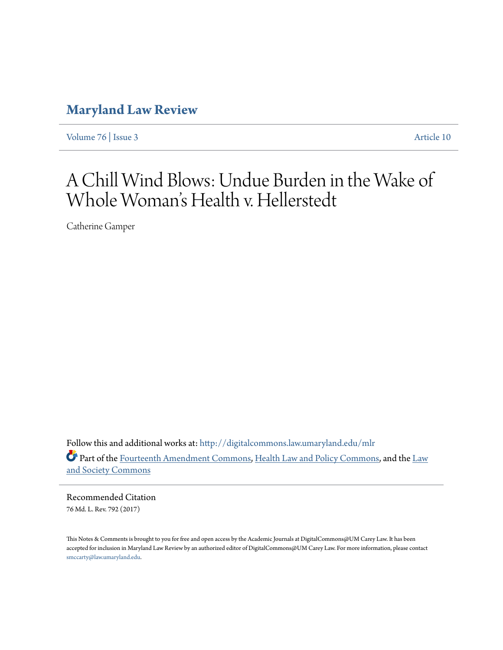# **[Maryland Law Review](http://digitalcommons.law.umaryland.edu/mlr?utm_source=digitalcommons.law.umaryland.edu%2Fmlr%2Fvol76%2Fiss3%2F10&utm_medium=PDF&utm_campaign=PDFCoverPages)**

[Volume 76](http://digitalcommons.law.umaryland.edu/mlr/vol76?utm_source=digitalcommons.law.umaryland.edu%2Fmlr%2Fvol76%2Fiss3%2F10&utm_medium=PDF&utm_campaign=PDFCoverPages) | [Issue 3](http://digitalcommons.law.umaryland.edu/mlr/vol76/iss3?utm_source=digitalcommons.law.umaryland.edu%2Fmlr%2Fvol76%2Fiss3%2F10&utm_medium=PDF&utm_campaign=PDFCoverPages) [Article 10](http://digitalcommons.law.umaryland.edu/mlr/vol76/iss3/10?utm_source=digitalcommons.law.umaryland.edu%2Fmlr%2Fvol76%2Fiss3%2F10&utm_medium=PDF&utm_campaign=PDFCoverPages)

# A Chill Wind Blows: Undue Burden in the Wake of Whole Woman 's Health v. Hellerstedt

Catherine Gamper

Follow this and additional works at: [http://digitalcommons.law.umaryland.edu/mlr](http://digitalcommons.law.umaryland.edu/mlr?utm_source=digitalcommons.law.umaryland.edu%2Fmlr%2Fvol76%2Fiss3%2F10&utm_medium=PDF&utm_campaign=PDFCoverPages) Part of the [Fourteenth Amendment Commons,](http://network.bepress.com/hgg/discipline/1116?utm_source=digitalcommons.law.umaryland.edu%2Fmlr%2Fvol76%2Fiss3%2F10&utm_medium=PDF&utm_campaign=PDFCoverPages) [Health Law and Policy Commons,](http://network.bepress.com/hgg/discipline/901?utm_source=digitalcommons.law.umaryland.edu%2Fmlr%2Fvol76%2Fiss3%2F10&utm_medium=PDF&utm_campaign=PDFCoverPages) and the [Law](http://network.bepress.com/hgg/discipline/853?utm_source=digitalcommons.law.umaryland.edu%2Fmlr%2Fvol76%2Fiss3%2F10&utm_medium=PDF&utm_campaign=PDFCoverPages) [and Society Commons](http://network.bepress.com/hgg/discipline/853?utm_source=digitalcommons.law.umaryland.edu%2Fmlr%2Fvol76%2Fiss3%2F10&utm_medium=PDF&utm_campaign=PDFCoverPages)

Recommended Citation 76 Md. L. Rev. 792 (2017)

This Notes & Comments is brought to you for free and open access by the Academic Journals at DigitalCommons@UM Carey Law. It has been accepted for inclusion in Maryland Law Review by an authorized editor of DigitalCommons@UM Carey Law. For more information, please contact [smccarty@law.umaryland.edu.](mailto:smccarty@law.umaryland.edu)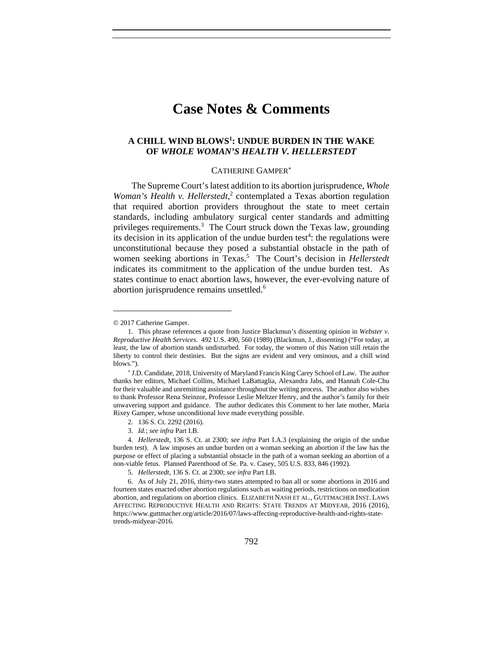# **Case Notes & Comments**

# **A CHILL WIND BLOWS1 : UNDUE BURDEN IN THE WAKE OF** *WHOLE WOMAN'S HEALTH V. HELLERSTEDT*

#### CATHERINE GAMPER

The Supreme Court's latest addition to its abortion jurisprudence, *Whole*  Woman's Health v. Hellerstedt,<sup>2</sup> contemplated a Texas abortion regulation that required abortion providers throughout the state to meet certain standards, including ambulatory surgical center standards and admitting privileges requirements.<sup>3</sup> The Court struck down the Texas law, grounding its decision in its application of the undue burden test<sup>4</sup>: the regulations were unconstitutional because they posed a substantial obstacle in the path of women seeking abortions in Texas.<sup>5</sup> The Court's decision in *Hellerstedt* indicates its commitment to the application of the undue burden test. As states continue to enact abortion laws, however, the ever-evolving nature of abortion jurisprudence remains unsettled.<sup>6</sup>

<sup>© 2017</sup> Catherine Gamper.

 <sup>1.</sup> This phrase references a quote from Justice Blackmun's dissenting opinion in *Webster v. Reproductive Health Services*. 492 U.S. 490, 560 (1989) (Blackmun, J., dissenting) ("For today, at least, the law of abortion stands undisturbed. For today, the women of this Nation still retain the liberty to control their destinies. But the signs are evident and very ominous, and a chill wind blows.").

<sup>\*</sup> J.D. Candidate, 2018, University of Maryland Francis King Carey School of Law. The author thanks her editors, Michael Collins, Michael LaBattaglia, Alexandra Jabs, and Hannah Cole-Chu for their valuable and unremitting assistance throughout the writing process. The author also wishes to thank Professor Rena Steinzor, Professor Leslie Meltzer Henry, and the author's family for their unwavering support and guidance. The author dedicates this Comment to her late mother, Maria Rixey Gamper, whose unconditional love made everything possible.

 <sup>2. 136</sup> S. Ct. 2292 (2016).

 <sup>3.</sup> *Id.*; *see infra* Part I.B.

 <sup>4.</sup> *Hellerstedt*, 136 S. Ct. at 2300; *see infra* Part I.A.3 (explaining the origin of the undue burden test). A law imposes an undue burden on a woman seeking an abortion if the law has the purpose or effect of placing a substantial obstacle in the path of a woman seeking an abortion of a non-viable fetus. Planned Parenthood of Se. Pa. v. Casey, 505 U.S. 833, 846 (1992).

 <sup>5.</sup> *Hellerstedt*, 136 S. Ct. at 2300; *see infra* Part I.B.

 <sup>6.</sup> As of July 21, 2016, thirty-two states attempted to ban all or some abortions in 2016 and fourteen states enacted other abortion regulations such as waiting periods, restrictions on medication abortion, and regulations on abortion clinics. ELIZABETH NASH ET AL., GUTTMACHER INST. LAWS AFFECTING REPRODUCTIVE HEALTH AND RIGHTS: STATE TRENDS AT MIDYEAR, 2016 (2016), https://www.guttmacher.org/article/2016/07/laws-affecting-reproductive-health-and-rights-statetrends-midyear-2016.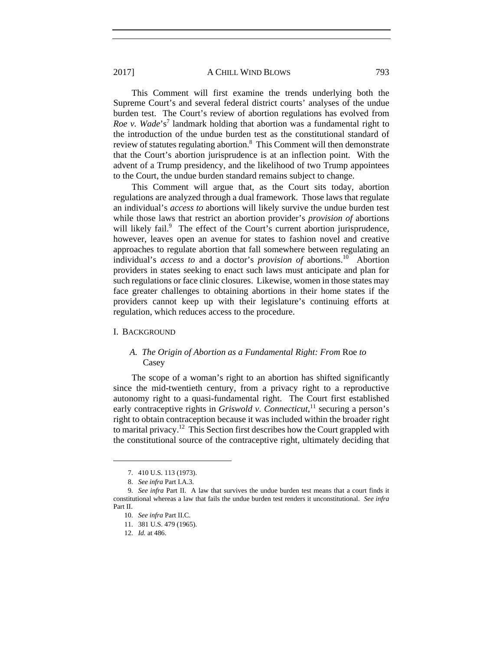This Comment will first examine the trends underlying both the Supreme Court's and several federal district courts' analyses of the undue burden test. The Court's review of abortion regulations has evolved from Roe v. Wade's<sup>7</sup> landmark holding that abortion was a fundamental right to the introduction of the undue burden test as the constitutional standard of review of statutes regulating abortion.<sup>8</sup> This Comment will then demonstrate that the Court's abortion jurisprudence is at an inflection point. With the advent of a Trump presidency, and the likelihood of two Trump appointees to the Court, the undue burden standard remains subject to change.

This Comment will argue that, as the Court sits today, abortion regulations are analyzed through a dual framework. Those laws that regulate an individual's *access to* abortions will likely survive the undue burden test while those laws that restrict an abortion provider's *provision of* abortions will likely fail.<sup>9</sup> The effect of the Court's current abortion jurisprudence, however, leaves open an avenue for states to fashion novel and creative approaches to regulate abortion that fall somewhere between regulating an individual's *access to* and a doctor's *provision of* abortions.<sup>10</sup> Abortion providers in states seeking to enact such laws must anticipate and plan for such regulations or face clinic closures. Likewise, women in those states may face greater challenges to obtaining abortions in their home states if the providers cannot keep up with their legislature's continuing efforts at regulation, which reduces access to the procedure.

#### I. BACKGROUND

# *A. The Origin of Abortion as a Fundamental Right: From* Roe *to* Casey

The scope of a woman's right to an abortion has shifted significantly since the mid-twentieth century, from a privacy right to a reproductive autonomy right to a quasi-fundamental right. The Court first established early contraceptive rights in *Griswold v. Connecticut*,<sup>11</sup> securing a person's right to obtain contraception because it was included within the broader right to marital privacy.<sup>12</sup> This Section first describes how the Court grappled with the constitutional source of the contraceptive right, ultimately deciding that

 <sup>7. 410</sup> U.S. 113 (1973).

 <sup>8.</sup> *See infra* Part I.A.3.

 <sup>9.</sup> *See infra* Part II. A law that survives the undue burden test means that a court finds it constitutional whereas a law that fails the undue burden test renders it unconstitutional. *See infra*  Part II.

 <sup>10.</sup> *See infra* Part II.C.

 <sup>11. 381</sup> U.S. 479 (1965).

 <sup>12.</sup> *Id.* at 486.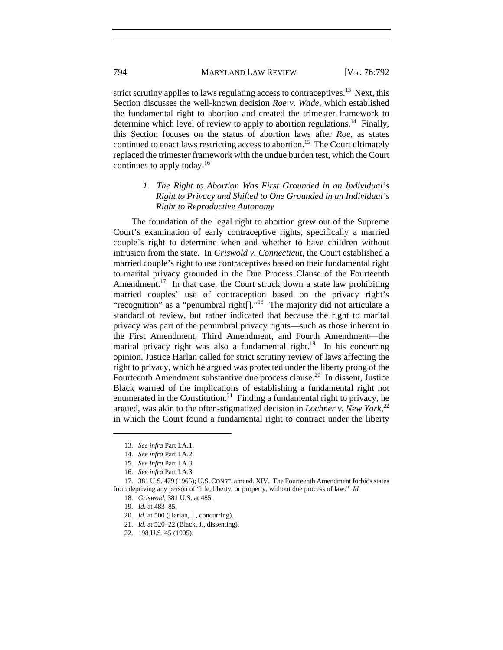strict scrutiny applies to laws regulating access to contraceptives.<sup>13</sup> Next, this Section discusses the well-known decision *Roe v. Wade*, which established the fundamental right to abortion and created the trimester framework to determine which level of review to apply to abortion regulations.<sup>14</sup> Finally, this Section focuses on the status of abortion laws after *Roe*, as states continued to enact laws restricting access to abortion.<sup>15</sup> The Court ultimately replaced the trimester framework with the undue burden test, which the Court continues to apply today.16

# *1. The Right to Abortion Was First Grounded in an Individual's Right to Privacy and Shifted to One Grounded in an Individual's Right to Reproductive Autonomy*

The foundation of the legal right to abortion grew out of the Supreme Court's examination of early contraceptive rights, specifically a married couple's right to determine when and whether to have children without intrusion from the state. In *Griswold v. Connecticut*, the Court established a married couple's right to use contraceptives based on their fundamental right to marital privacy grounded in the Due Process Clause of the Fourteenth Amendment.<sup>17</sup> In that case, the Court struck down a state law prohibiting married couples' use of contraception based on the privacy right's "recognition" as a "penumbral right[]."18 The majority did not articulate a standard of review, but rather indicated that because the right to marital privacy was part of the penumbral privacy rights—such as those inherent in the First Amendment, Third Amendment, and Fourth Amendment—the marital privacy right was also a fundamental right.<sup>19</sup> In his concurring opinion, Justice Harlan called for strict scrutiny review of laws affecting the right to privacy, which he argued was protected under the liberty prong of the Fourteenth Amendment substantive due process clause.<sup>20</sup> In dissent, Justice Black warned of the implications of establishing a fundamental right not enumerated in the Constitution.<sup>21</sup> Finding a fundamental right to privacy, he argued, was akin to the often-stigmatized decision in *Lochner v. New York*, 22 in which the Court found a fundamental right to contract under the liberty

 <sup>13.</sup> *See infra* Part I.A.1.

 <sup>14.</sup> *See infra* Part I.A.2.

 <sup>15.</sup> *See infra* Part I.A.3.

 <sup>16.</sup> *See infra* Part I.A.3.

 <sup>17. 381</sup> U.S. 479 (1965); U.S.CONST. amend. XIV. The Fourteenth Amendment forbids states from depriving any person of "life, liberty, or property, without due process of law." *Id.*

 <sup>18.</sup> *Griswold*, 381 U.S. at 485.

 <sup>19.</sup> *Id.* at 483–85.

 <sup>20.</sup> *Id.* at 500 (Harlan, J., concurring).

 <sup>21.</sup> *Id.* at 520–22 (Black, J., dissenting).

 <sup>22. 198</sup> U.S. 45 (1905).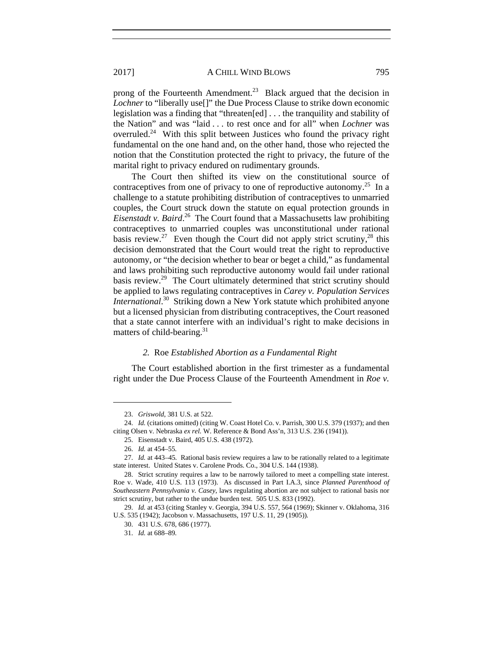prong of the Fourteenth Amendment.<sup>23</sup> Black argued that the decision in *Lochner* to "liberally use<sup>[]"</sup> the Due Process Clause to strike down economic legislation was a finding that "threaten[ed] . . . the tranquility and stability of the Nation" and was "laid . . . to rest once and for all" when *Lochner* was overruled.<sup>24</sup> With this split between Justices who found the privacy right fundamental on the one hand and, on the other hand, those who rejected the notion that the Constitution protected the right to privacy, the future of the marital right to privacy endured on rudimentary grounds.

The Court then shifted its view on the constitutional source of contraceptives from one of privacy to one of reproductive autonomy.<sup>25</sup> In a challenge to a statute prohibiting distribution of contraceptives to unmarried couples, the Court struck down the statute on equal protection grounds in *Eisenstadt v. Baird*. 26 The Court found that a Massachusetts law prohibiting contraceptives to unmarried couples was unconstitutional under rational basis review.<sup>27</sup> Even though the Court did not apply strict scrutiny,<sup>28</sup> this decision demonstrated that the Court would treat the right to reproductive autonomy, or "the decision whether to bear or beget a child," as fundamental and laws prohibiting such reproductive autonomy would fail under rational basis review.<sup>29</sup> The Court ultimately determined that strict scrutiny should be applied to laws regulating contraceptives in *Carey v. Population Services International*. 30 Striking down a New York statute which prohibited anyone but a licensed physician from distributing contraceptives, the Court reasoned that a state cannot interfere with an individual's right to make decisions in matters of child-bearing.<sup>31</sup>

# *2.* Roe *Established Abortion as a Fundamental Right*

The Court established abortion in the first trimester as a fundamental right under the Due Process Clause of the Fourteenth Amendment in *Roe v.* 

 <sup>23.</sup> *Griswold*, 381 U.S. at 522.

 <sup>24.</sup> *Id.* (citations omitted) (citing W. Coast Hotel Co. v. Parrish, 300 U.S. 379 (1937); and then citing Olsen v. Nebraska *ex rel.* W. Reference & Bond Ass'n, 313 U.S. 236 (1941)).

 <sup>25.</sup> Eisenstadt v. Baird, 405 U.S. 438 (1972).

 <sup>26.</sup> *Id.* at 454–55*.*

 <sup>27.</sup> *Id.* at 443–45*.* Rational basis review requires a law to be rationally related to a legitimate state interest. United States v. Carolene Prods. Co., 304 U.S. 144 (1938).

 <sup>28.</sup> Strict scrutiny requires a law to be narrowly tailored to meet a compelling state interest. Roe v. Wade, 410 U.S. 113 (1973). As discussed in Part I.A.3, since *Planned Parenthood of Southeastern Pennsylvania v. Casey*, laws regulating abortion are not subject to rational basis nor strict scrutiny, but rather to the undue burden test. 505 U.S. 833 (1992).

 <sup>29.</sup> *Id.* at 453 (citing Stanley v. Georgia, 394 U.S. 557, 564 (1969); Skinner v. Oklahoma, 316 U.S. 535 (1942); Jacobson v. Massachusetts, 197 U.S. 11, 29 (1905))*.*

 <sup>30. 431</sup> U.S. 678, 686 (1977).

 <sup>31.</sup> *Id.* at 688–89*.*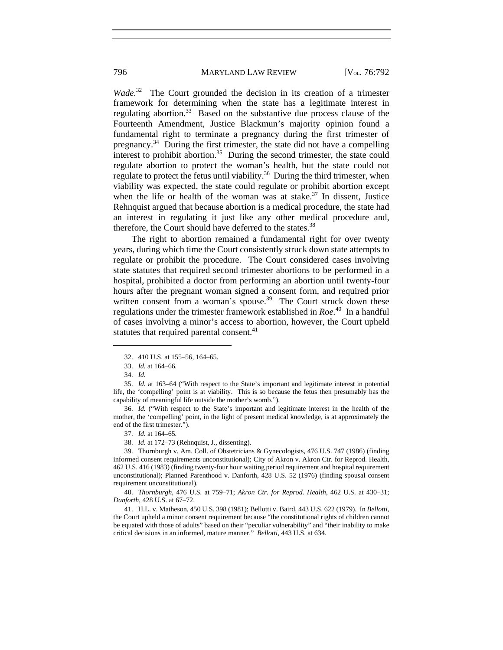*Wade.*32 The Court grounded the decision in its creation of a trimester framework for determining when the state has a legitimate interest in regulating abortion.<sup>33</sup> Based on the substantive due process clause of the Fourteenth Amendment, Justice Blackmun's majority opinion found a fundamental right to terminate a pregnancy during the first trimester of pregnancy.34 During the first trimester, the state did not have a compelling interest to prohibit abortion.<sup>35</sup> During the second trimester, the state could regulate abortion to protect the woman's health, but the state could not regulate to protect the fetus until viability. $36$  During the third trimester, when viability was expected, the state could regulate or prohibit abortion except when the life or health of the woman was at stake.<sup>37</sup> In dissent, Justice Rehnquist argued that because abortion is a medical procedure, the state had an interest in regulating it just like any other medical procedure and, therefore, the Court should have deferred to the states.<sup>38</sup>

The right to abortion remained a fundamental right for over twenty years, during which time the Court consistently struck down state attempts to regulate or prohibit the procedure. The Court considered cases involving state statutes that required second trimester abortions to be performed in a hospital, prohibited a doctor from performing an abortion until twenty-four hours after the pregnant woman signed a consent form, and required prior written consent from a woman's spouse.<sup>39</sup> The Court struck down these regulations under the trimester framework established in *Roe.*40 In a handful of cases involving a minor's access to abortion, however, the Court upheld statutes that required parental consent.<sup>41</sup>

 $\overline{a}$ 

 36. *Id.* ("With respect to the State's important and legitimate interest in the health of the mother, the 'compelling' point, in the light of present medical knowledge, is at approximately the end of the first trimester.").

 40. *Thornburgh*, 476 U.S. at 759–71; *Akron Ctr. for Reprod. Health*, 462 U.S. at 430–31; *Danforth*, 428 U.S. at 67–72.

 41. H.L. v. Matheson, 450 U.S. 398 (1981); Bellotti v. Baird, 443 U.S. 622 (1979). In *Bellotti*, the Court upheld a minor consent requirement because "the constitutional rights of children cannot be equated with those of adults" based on their "peculiar vulnerability" and "their inability to make critical decisions in an informed, mature manner." *Bellotti*, 443 U.S. at 634.

 <sup>32. 410</sup> U.S. at 155–56, 164–65.

 <sup>33.</sup> *Id.* at 164–66*.*

 <sup>34.</sup> *Id.*

 <sup>35.</sup> *Id.* at 163–64 ("With respect to the State's important and legitimate interest in potential life, the 'compelling' point is at viability. This is so because the fetus then presumably has the capability of meaningful life outside the mother's womb.").

 <sup>37.</sup> *Id.* at 164–65*.*

 <sup>38.</sup> *Id.* at 172–73 (Rehnquist, J., dissenting).

 <sup>39.</sup> Thornburgh v. Am. Coll. of Obstetricians & Gynecologists, 476 U.S. 747 (1986) (finding informed consent requirements unconstitutional); City of Akron v. Akron Ctr. for Reprod. Health, 462 U.S. 416 (1983) (finding twenty-four hour waiting period requirement and hospital requirement unconstitutional); Planned Parenthood v. Danforth, 428 U.S. 52 (1976) (finding spousal consent requirement unconstitutional).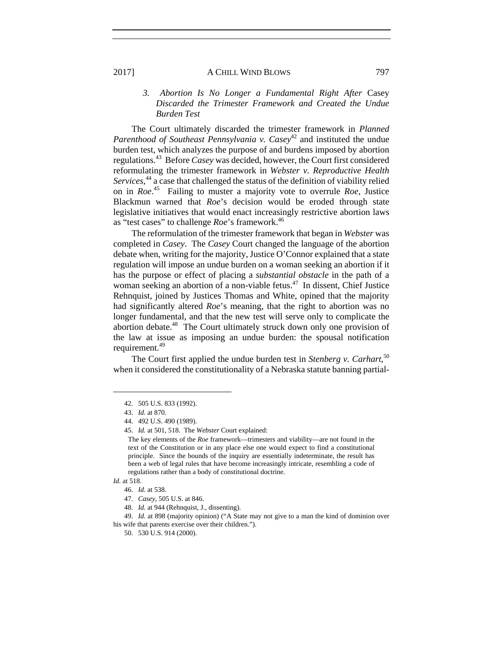# *3. Abortion Is No Longer a Fundamental Right After* Casey *Discarded the Trimester Framework and Created the Undue Burden Test*

The Court ultimately discarded the trimester framework in *Planned Parenthood of Southeast Pennsylvania v. Casey*<sup>42</sup> and instituted the undue burden test, which analyzes the purpose of and burdens imposed by abortion regulations.43 Before *Casey* was decided, however, the Court first considered reformulating the trimester framework in *Webster v. Reproductive Health Services*, 44 a case that challenged the status of the definition of viability relied on in *Roe*. 45 Failing to muster a majority vote to overrule *Roe*, Justice Blackmun warned that *Roe*'s decision would be eroded through state legislative initiatives that would enact increasingly restrictive abortion laws as "test cases" to challenge *Roe*'s framework.<sup>46</sup>

The reformulation of the trimester framework that began in *Webster* was completed in *Casey*. The *Casey* Court changed the language of the abortion debate when, writing for the majority, Justice O'Connor explained that a state regulation will impose an undue burden on a woman seeking an abortion if it has the purpose or effect of placing a *substantial obstacle* in the path of a woman seeking an abortion of a non-viable fetus.<sup>47</sup> In dissent, Chief Justice Rehnquist, joined by Justices Thomas and White, opined that the majority had significantly altered *Roe*'s meaning, that the right to abortion was no longer fundamental, and that the new test will serve only to complicate the abortion debate.<sup>48</sup> The Court ultimately struck down only one provision of the law at issue as imposing an undue burden: the spousal notification requirement.<sup>49</sup>

The Court first applied the undue burden test in *Stenberg v. Carhart*, 50 when it considered the constitutionality of a Nebraska statute banning partial-

 <sup>42. 505</sup> U.S. 833 (1992).

 <sup>43.</sup> *Id.* at 870*.*

 <sup>44. 492</sup> U.S. 490 (1989).

 <sup>45.</sup> *Id.* at 501, 518. The *Webster* Court explained:

The key elements of the *Roe* framework—trimesters and viability—are not found in the text of the Constitution or in any place else one would expect to find a constitutional principle. Since the bounds of the inquiry are essentially indeterminate, the result has been a web of legal rules that have become increasingly intricate, resembling a code of regulations rather than a body of constitutional doctrine.

*Id.* at 518.

 <sup>46.</sup> *Id.* at 538*.*

 <sup>47.</sup> *Casey*, 505 U.S. at 846.

 <sup>48.</sup> *Id.* at 944 (Rehnquist, J., dissenting).

 <sup>49.</sup> *Id.* at 898 (majority opinion) ("A State may not give to a man the kind of dominion over his wife that parents exercise over their children.").

 <sup>50. 530</sup> U.S. 914 (2000).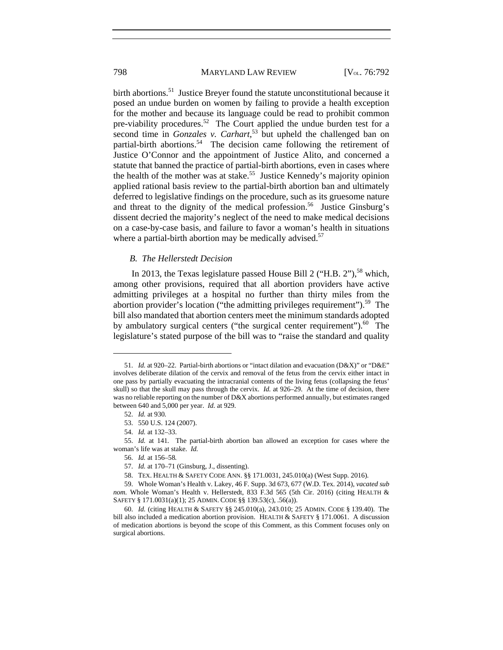#### 798 MARYLAND LAW REVIEW [V<sub>OL.</sub> 76:792

birth abortions.<sup>51</sup> Justice Breyer found the statute unconstitutional because it posed an undue burden on women by failing to provide a health exception for the mother and because its language could be read to prohibit common pre-viability procedures.<sup>52</sup> The Court applied the undue burden test for a second time in *Gonzales v. Carhart*, 53 but upheld the challenged ban on partial-birth abortions.<sup>54</sup> The decision came following the retirement of Justice O'Connor and the appointment of Justice Alito, and concerned a statute that banned the practice of partial-birth abortions, even in cases where the health of the mother was at stake.<sup>55</sup> Justice Kennedy's majority opinion applied rational basis review to the partial-birth abortion ban and ultimately deferred to legislative findings on the procedure, such as its gruesome nature and threat to the dignity of the medical profession.<sup>56</sup> Justice Ginsburg's dissent decried the majority's neglect of the need to make medical decisions on a case-by-case basis, and failure to favor a woman's health in situations where a partial-birth abortion may be medically advised.<sup>57</sup>

# *B. The Hellerstedt Decision*

In 2013, the Texas legislature passed House Bill 2 ("H.B. 2"),<sup>58</sup> which, among other provisions, required that all abortion providers have active admitting privileges at a hospital no further than thirty miles from the abortion provider's location ("the admitting privileges requirement").<sup>59</sup> The bill also mandated that abortion centers meet the minimum standards adopted by ambulatory surgical centers ("the surgical center requirement"). $^{60}$  The legislature's stated purpose of the bill was to "raise the standard and quality

 <sup>51.</sup> *Id.* at 920–22. Partial-birth abortions or "intact dilation and evacuation (D&X)" or "D&E" involves deliberate dilation of the cervix and removal of the fetus from the cervix either intact in one pass by partially evacuating the intracranial contents of the living fetus (collapsing the fetus' skull) so that the skull may pass through the cervix. *Id.* at 926–29. At the time of decision, there was no reliable reporting on the number of D&X abortions performed annually, but estimates ranged between 640 and 5,000 per year. *Id.* at 929.

 <sup>52.</sup> *Id.* at 930*.*

 <sup>53. 550</sup> U.S. 124 (2007).

 <sup>54.</sup> *Id.* at 132–33.

 <sup>55.</sup> *Id.* at 141*.* The partial-birth abortion ban allowed an exception for cases where the woman's life was at stake. *Id.* 

 <sup>56.</sup> *Id.* at 156–58*.*

 <sup>57.</sup> *Id.* at 170–71 (Ginsburg, J., dissenting).

 <sup>58.</sup> TEX. HEALTH & SAFETY CODE ANN. §§ 171.0031, 245.010(a) (West Supp. 2016).

 <sup>59.</sup> Whole Woman's Health v. Lakey, 46 F. Supp. 3d 673, 677 (W.D. Tex. 2014), *vacated sub nom.* Whole Woman's Health v. Hellerstedt, 833 F.3d 565 (5th Cir. 2016) (citing HEALTH & SAFETY § 171.0031(a)(1); 25 ADMIN. CODE §§ 139.53(c), .56(a)).

 <sup>60.</sup> *Id.* (citing HEALTH & SAFETY §§ 245.010(a), 243.010; 25 ADMIN. CODE § 139.40). The bill also included a medication abortion provision. HEALTH & SAFETY § 171.0061. A discussion of medication abortions is beyond the scope of this Comment, as this Comment focuses only on surgical abortions.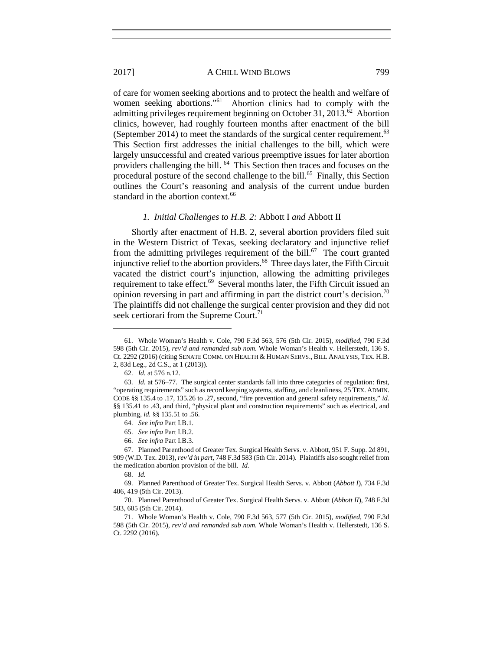of care for women seeking abortions and to protect the health and welfare of women seeking abortions."<sup>61</sup> Abortion clinics had to comply with the admitting privileges requirement beginning on October 31, 2013. $\dot{\delta}^2$  Abortion clinics, however, had roughly fourteen months after enactment of the bill (September 2014) to meet the standards of the surgical center requirement.<sup>63</sup> This Section first addresses the initial challenges to the bill, which were largely unsuccessful and created various preemptive issues for later abortion providers challenging the bill. 64 This Section then traces and focuses on the procedural posture of the second challenge to the bill.<sup>65</sup> Finally, this Section outlines the Court's reasoning and analysis of the current undue burden standard in the abortion context.<sup>66</sup>

#### *1. Initial Challenges to H.B. 2:* Abbott I *and* Abbott II

Shortly after enactment of H.B. 2, several abortion providers filed suit in the Western District of Texas, seeking declaratory and injunctive relief from the admitting privileges requirement of the bill. $67$  The court granted injunctive relief to the abortion providers.68 Three days later, the Fifth Circuit vacated the district court's injunction, allowing the admitting privileges requirement to take effect.<sup>69</sup> Several months later, the Fifth Circuit issued an opinion reversing in part and affirming in part the district court's decision.70 The plaintiffs did not challenge the surgical center provision and they did not seek certiorari from the Supreme Court.<sup>71</sup>

 <sup>61.</sup> Whole Woman's Health v. Cole, 790 F.3d 563, 576 (5th Cir. 2015), *modified*, 790 F.3d 598 (5th Cir. 2015), *rev'd and remanded sub nom.* Whole Woman's Health v. Hellerstedt, 136 S. Ct. 2292 (2016) (citing SENATE COMM. ON HEALTH & HUMAN SERVS., BILL ANALYSIS, TEX. H.B. 2, 83d Leg., 2d C.S., at 1 (2013)).

 <sup>62.</sup> *Id.* at 576 n.12.

 <sup>63.</sup> *Id.* at 576–77. The surgical center standards fall into three categories of regulation: first, "operating requirements" such as record keeping systems, staffing, and cleanliness, 25 TEX. ADMIN. CODE §§ 135.4 to .17, 135.26 to .27, second, "fire prevention and general safety requirements," *id.* §§ 135.41 to .43, and third, "physical plant and construction requirements" such as electrical, and plumbing, *id.* §§ 135.51 to .56.

 <sup>64.</sup> *See infra* Part I.B.1.

 <sup>65.</sup> *See infra* Part I.B.2.

 <sup>66.</sup> *See infra* Part I.B.3.

 <sup>67.</sup> Planned Parenthood of Greater Tex. Surgical Health Servs. v. Abbott, 951 F. Supp. 2d 891, 909 (W.D. Tex. 2013), *rev'd in part*, 748 F.3d 583 (5th Cir. 2014). Plaintiffs also sought relief from the medication abortion provision of the bill. *Id.*

 <sup>68.</sup> *Id.*

 <sup>69.</sup> Planned Parenthood of Greater Tex. Surgical Health Servs. v. Abbott (*Abbott I*), 734 F.3d 406, 419 (5th Cir. 2013).

 <sup>70.</sup> Planned Parenthood of Greater Tex. Surgical Health Servs. v. Abbott (*Abbott II*), 748 F.3d 583, 605 (5th Cir. 2014).

 <sup>71.</sup> Whole Woman's Health v. Cole, 790 F.3d 563, 577 (5th Cir. 2015), *modified*, 790 F.3d 598 (5th Cir. 2015), *rev'd and remanded sub nom.* Whole Woman's Health v. Hellerstedt, 136 S. Ct. 2292 (2016).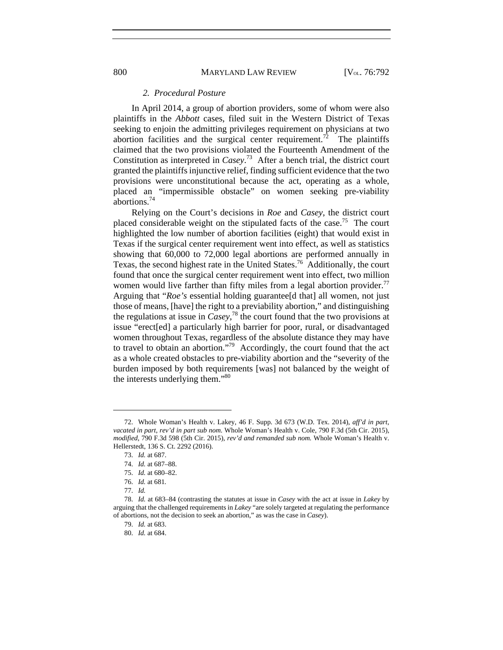#### *2. Procedural Posture*

In April 2014, a group of abortion providers, some of whom were also plaintiffs in the *Abbott* cases, filed suit in the Western District of Texas seeking to enjoin the admitting privileges requirement on physicians at two abortion facilities and the surgical center requirement.<sup>72</sup> The plaintiffs claimed that the two provisions violated the Fourteenth Amendment of the Constitution as interpreted in *Casey*. 73 After a bench trial, the district court granted the plaintiffs injunctive relief, finding sufficient evidence that the two provisions were unconstitutional because the act, operating as a whole, placed an "impermissible obstacle" on women seeking pre-viability abortions.74

Relying on the Court's decisions in *Roe* and *Casey*, the district court placed considerable weight on the stipulated facts of the case.<sup>75</sup> The court highlighted the low number of abortion facilities (eight) that would exist in Texas if the surgical center requirement went into effect, as well as statistics showing that 60,000 to 72,000 legal abortions are performed annually in Texas, the second highest rate in the United States.76 Additionally, the court found that once the surgical center requirement went into effect, two million women would live farther than fifty miles from a legal abortion provider.<sup>77</sup> Arguing that "*Roe's* essential holding guarantee[d that] all women, not just those of means, [have] the right to a previability abortion," and distinguishing the regulations at issue in *Casey*, 78 the court found that the two provisions at issue "erect[ed] a particularly high barrier for poor, rural, or disadvantaged women throughout Texas, regardless of the absolute distance they may have to travel to obtain an abortion."79 Accordingly, the court found that the act as a whole created obstacles to pre-viability abortion and the "severity of the burden imposed by both requirements [was] not balanced by the weight of the interests underlying them."80

 <sup>72.</sup> Whole Woman's Health v. Lakey, 46 F. Supp. 3d 673 (W.D. Tex. 2014), *aff'd in part*, *vacated in part*, *rev'd in part sub nom.* Whole Woman's Health v. Cole, 790 F.3d (5th Cir. 2015), *modified*, 790 F.3d 598 (5th Cir. 2015), *rev'd and remanded sub nom.* Whole Woman's Health v. Hellerstedt, 136 S. Ct. 2292 (2016).

 <sup>73.</sup> *Id.* at 687.

 <sup>74.</sup> *Id.* at 687–88.

 <sup>75.</sup> *Id.* at 680–82.

 <sup>76.</sup> *Id.* at 681*.* 

 <sup>77.</sup> *Id.* 

 <sup>78.</sup> *Id.* at 683–84 (contrasting the statutes at issue in *Casey* with the act at issue in *Lakey* by arguing that the challenged requirements in *Lakey* "are solely targeted at regulating the performance of abortions, not the decision to seek an abortion," as was the case in *Casey*).

 <sup>79.</sup> *Id.* at 683.

 <sup>80.</sup> *Id.* at 684.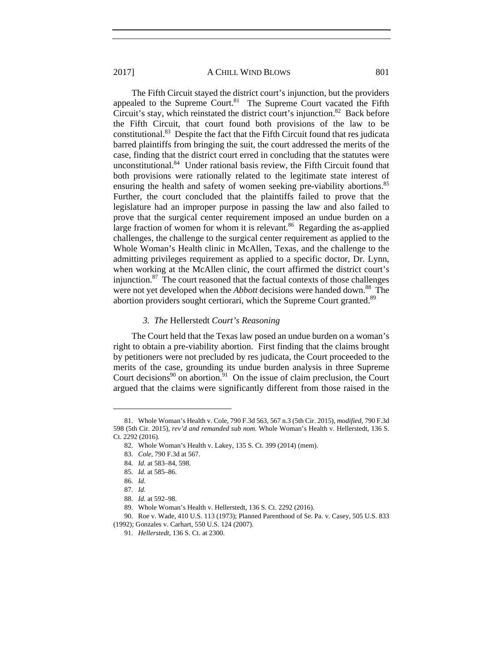The Fifth Circuit stayed the district court's injunction, but the providers appealed to the Supreme Court. $81$  The Supreme Court vacated the Fifth Circuit's stay, which reinstated the district court's injunction.<sup>82</sup> Back before the Fifth Circuit, that court found both provisions of the law to be constitutional.83 Despite the fact that the Fifth Circuit found that res judicata barred plaintiffs from bringing the suit, the court addressed the merits of the case, finding that the district court erred in concluding that the statutes were unconstitutional.84 Under rational basis review, the Fifth Circuit found that both provisions were rationally related to the legitimate state interest of ensuring the health and safety of women seeking pre-viability abortions.<sup>85</sup> Further, the court concluded that the plaintiffs failed to prove that the legislature had an improper purpose in passing the law and also failed to prove that the surgical center requirement imposed an undue burden on a large fraction of women for whom it is relevant.<sup>86</sup> Regarding the as-applied challenges, the challenge to the surgical center requirement as applied to the Whole Woman's Health clinic in McAllen, Texas, and the challenge to the admitting privileges requirement as applied to a specific doctor, Dr. Lynn, when working at the McAllen clinic, the court affirmed the district court's injunction. $87$  The court reasoned that the factual contexts of those challenges were not yet developed when the *Abbott* decisions were handed down.<sup>88</sup> The abortion providers sought certiorari, which the Supreme Court granted.<sup>89</sup>

# *3. The* Hellerstedt *Court's Reasoning*

The Court held that the Texas law posed an undue burden on a woman's right to obtain a pre-viability abortion. First finding that the claims brought by petitioners were not precluded by res judicata, the Court proceeded to the merits of the case, grounding its undue burden analysis in three Supreme Court decisions<sup>90</sup> on abortion.<sup>91</sup> On the issue of claim preclusion, the Court argued that the claims were significantly different from those raised in the

 <sup>81.</sup> Whole Woman's Health v. Cole, 790 F.3d 563, 567 n.3 (5th Cir. 2015), *modified*, 790 F.3d 598 (5th Cir. 2015), *rev'd and remanded sub nom.* Whole Woman's Health v. Hellerstedt, 136 S. Ct. 2292 (2016).

 <sup>82.</sup> Whole Woman's Health v. Lakey, 135 S. Ct. 399 (2014) (mem).

 <sup>83.</sup> *Cole*, 790 F.3d at 567.

 <sup>84.</sup> *Id.* at 583–84, 598.

 <sup>85.</sup> *Id.* at 585–86.

 <sup>86.</sup> *Id.*

 <sup>87.</sup> *Id.* 

 <sup>88.</sup> *Id.* at 592–98.

 <sup>89.</sup> Whole Woman's Health v. Hellerstedt, 136 S. Ct. 2292 (2016).

 <sup>90.</sup> Roe v. Wade, 410 U.S. 113 (1973); Planned Parenthood of Se. Pa. v. Casey, 505 U.S. 833 (1992); Gonzales v. Carhart, 550 U.S. 124 (2007).

 <sup>91.</sup> *Hellerstedt*, 136 S. Ct. at 2300.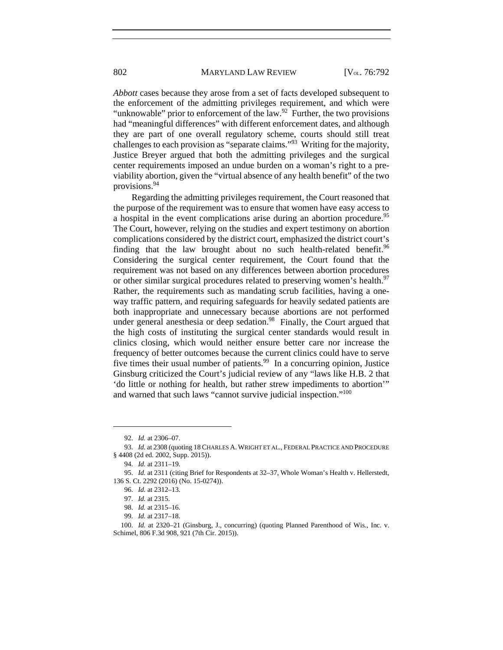*Abbott* cases because they arose from a set of facts developed subsequent to the enforcement of the admitting privileges requirement, and which were "unknowable" prior to enforcement of the law.<sup>92</sup> Further, the two provisions had "meaningful differences" with different enforcement dates, and although they are part of one overall regulatory scheme, courts should still treat challenges to each provision as "separate claims."93 Writing for the majority, Justice Breyer argued that both the admitting privileges and the surgical center requirements imposed an undue burden on a woman's right to a previability abortion, given the "virtual absence of any health benefit" of the two provisions.94

Regarding the admitting privileges requirement, the Court reasoned that the purpose of the requirement was to ensure that women have easy access to a hospital in the event complications arise during an abortion procedure.<sup>95</sup> The Court, however, relying on the studies and expert testimony on abortion complications considered by the district court, emphasized the district court's finding that the law brought about no such health-related benefit.<sup>96</sup> Considering the surgical center requirement, the Court found that the requirement was not based on any differences between abortion procedures or other similar surgical procedures related to preserving women's health.<sup>97</sup> Rather, the requirements such as mandating scrub facilities, having a oneway traffic pattern, and requiring safeguards for heavily sedated patients are both inappropriate and unnecessary because abortions are not performed under general anesthesia or deep sedation.<sup>98</sup> Finally, the Court argued that the high costs of instituting the surgical center standards would result in clinics closing, which would neither ensure better care nor increase the frequency of better outcomes because the current clinics could have to serve five times their usual number of patients.<sup>99</sup> In a concurring opinion, Justice Ginsburg criticized the Court's judicial review of any "laws like H.B. 2 that 'do little or nothing for health, but rather strew impediments to abortion'" and warned that such laws "cannot survive judicial inspection."100

 $\overline{a}$ 

97. *Id.* at 2315.

99. *Id.* at 2317–18.

 <sup>92.</sup> *Id.* at 2306–07.

 <sup>93.</sup> *Id.* at 2308 (quoting 18 CHARLES A. WRIGHT ET AL., FEDERAL PRACTICE AND PROCEDURE § 4408 (2d ed. 2002, Supp. 2015)).

 <sup>94.</sup> *Id.* at 2311–19.

 <sup>95.</sup> *Id.* at 2311 (citing Brief for Respondents at 32–37, Whole Woman's Health v. Hellerstedt, 136 S. Ct. 2292 (2016) (No. 15-0274)).

 <sup>96.</sup> *Id.* at 2312–13.

 <sup>98.</sup> *Id.* at 2315–16.

 <sup>100.</sup> *Id.* at 2320–21 (Ginsburg, J., concurring) (quoting Planned Parenthood of Wis., Inc. v. Schimel, 806 F.3d 908, 921 (7th Cir. 2015)).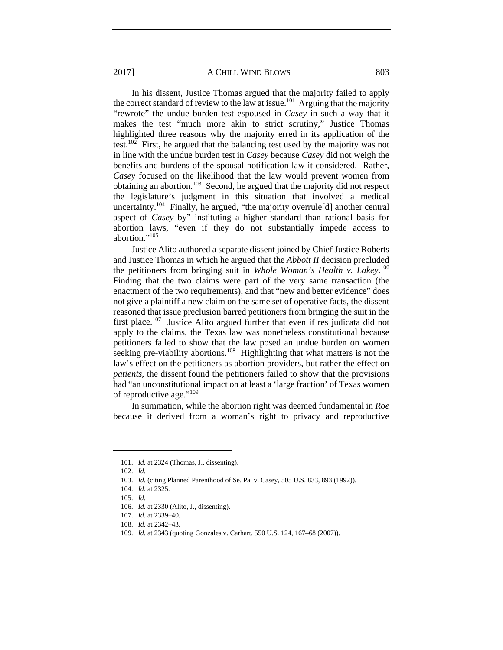In his dissent, Justice Thomas argued that the majority failed to apply the correct standard of review to the law at issue.<sup>101</sup> Arguing that the majority "rewrote" the undue burden test espoused in *Casey* in such a way that it makes the test "much more akin to strict scrutiny," Justice Thomas highlighted three reasons why the majority erred in its application of the test.<sup>102</sup> First, he argued that the balancing test used by the majority was not in line with the undue burden test in *Casey* because *Casey* did not weigh the benefits and burdens of the spousal notification law it considered. Rather, *Casey* focused on the likelihood that the law would prevent women from obtaining an abortion.103 Second, he argued that the majority did not respect the legislature's judgment in this situation that involved a medical uncertainty.<sup>104</sup> Finally, he argued, "the majority overrule[d] another central aspect of *Casey* by" instituting a higher standard than rational basis for abortion laws, "even if they do not substantially impede access to abortion."<sup>105</sup>

Justice Alito authored a separate dissent joined by Chief Justice Roberts and Justice Thomas in which he argued that the *Abbott II* decision precluded the petitioners from bringing suit in *Whole Woman's Health v. Lakey*. 106 Finding that the two claims were part of the very same transaction (the enactment of the two requirements), and that "new and better evidence" does not give a plaintiff a new claim on the same set of operative facts, the dissent reasoned that issue preclusion barred petitioners from bringing the suit in the first place.<sup>107</sup> Justice Alito argued further that even if res judicata did not apply to the claims, the Texas law was nonetheless constitutional because petitioners failed to show that the law posed an undue burden on women seeking pre-viability abortions.<sup>108</sup> Highlighting that what matters is not the law's effect on the petitioners as abortion providers, but rather the effect on *patients*, the dissent found the petitioners failed to show that the provisions had "an unconstitutional impact on at least a 'large fraction' of Texas women of reproductive age."<sup>109</sup>

In summation, while the abortion right was deemed fundamental in *Roe* because it derived from a woman's right to privacy and reproductive

 <sup>101.</sup> *Id.* at 2324 (Thomas, J., dissenting).

 <sup>102.</sup> *Id.*

 <sup>103.</sup> *Id.* (citing Planned Parenthood of Se. Pa. v. Casey, 505 U.S. 833, 893 (1992)).

 <sup>104.</sup> *Id.* at 2325.

 <sup>105.</sup> *Id.* 

 <sup>106.</sup> *Id.* at 2330 (Alito, J., dissenting).

 <sup>107.</sup> *Id.* at 2339–40.

 <sup>108.</sup> *Id.* at 2342–43.

 <sup>109.</sup> *Id.* at 2343 (quoting Gonzales v. Carhart, 550 U.S. 124, 167–68 (2007)).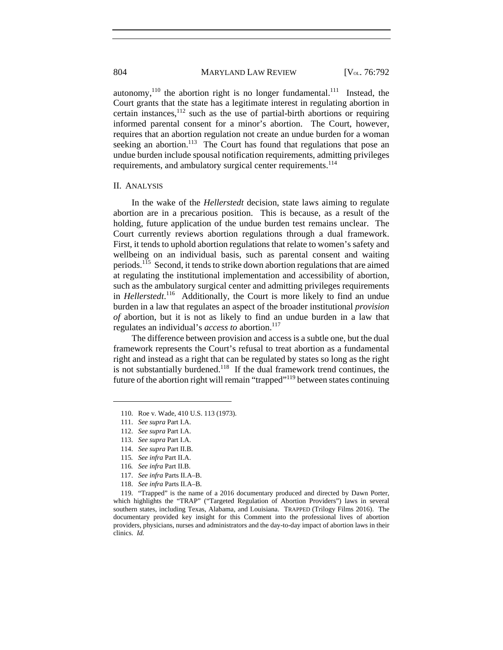autonomy, $110$  the abortion right is no longer fundamental.<sup>111</sup> Instead, the Court grants that the state has a legitimate interest in regulating abortion in certain instances, $112$  such as the use of partial-birth abortions or requiring informed parental consent for a minor's abortion. The Court, however, requires that an abortion regulation not create an undue burden for a woman seeking an abortion.<sup>113</sup> The Court has found that regulations that pose an undue burden include spousal notification requirements, admitting privileges requirements, and ambulatory surgical center requirements.<sup>114</sup>

#### II. ANALYSIS

In the wake of the *Hellerstedt* decision, state laws aiming to regulate abortion are in a precarious position. This is because, as a result of the holding, future application of the undue burden test remains unclear. The Court currently reviews abortion regulations through a dual framework. First, it tends to uphold abortion regulations that relate to women's safety and wellbeing on an individual basis, such as parental consent and waiting periods.<sup>115</sup> Second, it tends to strike down abortion regulations that are aimed at regulating the institutional implementation and accessibility of abortion, such as the ambulatory surgical center and admitting privileges requirements in *Hellerstedt*. 116 Additionally, the Court is more likely to find an undue burden in a law that regulates an aspect of the broader institutional *provision of* abortion, but it is not as likely to find an undue burden in a law that regulates an individual's *access to* abortion.<sup>117</sup>

The difference between provision and access is a subtle one, but the dual framework represents the Court's refusal to treat abortion as a fundamental right and instead as a right that can be regulated by states so long as the right is not substantially burdened.118 If the dual framework trend continues, the future of the abortion right will remain "trapped"119 between states continuing

 <sup>110.</sup> Roe v. Wade, 410 U.S. 113 (1973).

 <sup>111.</sup> *See supra* Part I.A.

 <sup>112.</sup> *See supra* Part I.A.

 <sup>113.</sup> *See supra* Part I.A.

 <sup>114.</sup> *See supra* Part II.B.

<sup>115</sup>*. See infra* Part II.A.

<sup>116</sup>*. See infra* Part II.B.

 <sup>117.</sup> *See infra* Parts II.A–B.

 <sup>118.</sup> *See infra* Parts II.A–B.

 <sup>119. &</sup>quot;Trapped" is the name of a 2016 documentary produced and directed by Dawn Porter, which highlights the "TRAP" ("Targeted Regulation of Abortion Providers") laws in several southern states, including Texas, Alabama, and Louisiana. TRAPPED (Trilogy Films 2016). The documentary provided key insight for this Comment into the professional lives of abortion providers, physicians, nurses and administrators and the day-to-day impact of abortion laws in their clinics. *Id.*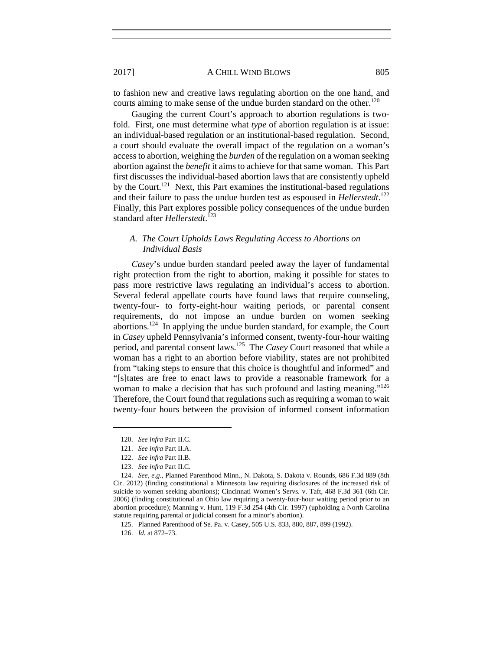to fashion new and creative laws regulating abortion on the one hand, and courts aiming to make sense of the undue burden standard on the other.<sup>120</sup>

Gauging the current Court's approach to abortion regulations is twofold. First, one must determine what *type* of abortion regulation is at issue: an individual-based regulation or an institutional-based regulation. Second, a court should evaluate the overall impact of the regulation on a woman's access to abortion, weighing the *burden* of the regulation on a woman seeking abortion against the *benefit* it aims to achieve for that same woman. This Part first discusses the individual-based abortion laws that are consistently upheld by the Court.<sup>121</sup> Next, this Part examines the institutional-based regulations and their failure to pass the undue burden test as espoused in *Hellerstedt*. 122 Finally, this Part explores possible policy consequences of the undue burden standard after *Hellerstedt*. 123

# *A. The Court Upholds Laws Regulating Access to Abortions on Individual Basis*

*Casey*'s undue burden standard peeled away the layer of fundamental right protection from the right to abortion, making it possible for states to pass more restrictive laws regulating an individual's access to abortion. Several federal appellate courts have found laws that require counseling, twenty-four- to forty-eight-hour waiting periods, or parental consent requirements, do not impose an undue burden on women seeking abortions.124 In applying the undue burden standard, for example, the Court in *Casey* upheld Pennsylvania's informed consent, twenty-four-hour waiting period, and parental consent laws.125 The *Casey* Court reasoned that while a woman has a right to an abortion before viability, states are not prohibited from "taking steps to ensure that this choice is thoughtful and informed" and "[s]tates are free to enact laws to provide a reasonable framework for a woman to make a decision that has such profound and lasting meaning."<sup>126</sup> Therefore, the Court found that regulations such as requiring a woman to wait twenty-four hours between the provision of informed consent information

 <sup>120.</sup> *See infra* Part II.C.

 <sup>121.</sup> *See infra* Part II.A.

 <sup>122.</sup> *See infra* Part II.B.

 <sup>123.</sup> *See infra* Part II.C.

 <sup>124.</sup> *See, e.g.*, Planned Parenthood Minn., N. Dakota, S. Dakota v. Rounds, 686 F.3d 889 (8th Cir. 2012) (finding constitutional a Minnesota law requiring disclosures of the increased risk of suicide to women seeking abortions); Cincinnati Women's Servs. v. Taft, 468 F.3d 361 (6th Cir. 2006) (finding constitutional an Ohio law requiring a twenty-four-hour waiting period prior to an abortion procedure); Manning v. Hunt, 119 F.3d 254 (4th Cir. 1997) (upholding a North Carolina statute requiring parental or judicial consent for a minor's abortion).

 <sup>125.</sup> Planned Parenthood of Se. Pa. v. Casey, 505 U.S. 833, 880, 887, 899 (1992).

 <sup>126.</sup> *Id.* at 872–73.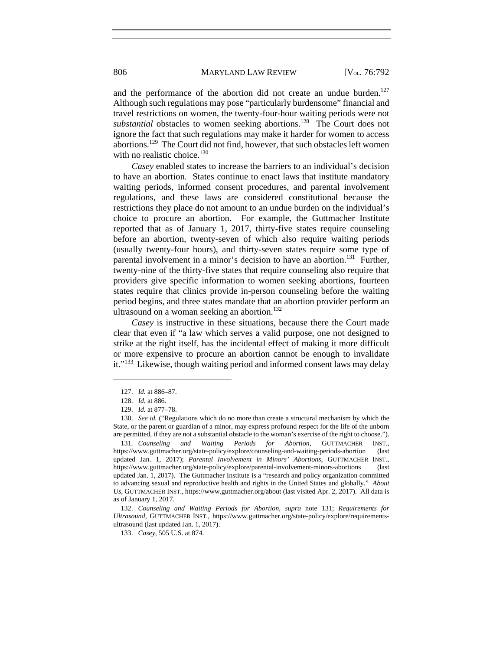and the performance of the abortion did not create an undue burden. $127$ Although such regulations may pose "particularly burdensome" financial and travel restrictions on women, the twenty-four-hour waiting periods were not *substantial* obstacles to women seeking abortions.<sup>128</sup> The Court does not ignore the fact that such regulations may make it harder for women to access abortions.129 The Court did not find, however, that such obstacles left women with no realistic choice.<sup>130</sup>

*Casey* enabled states to increase the barriers to an individual's decision to have an abortion.States continue to enact laws that institute mandatory waiting periods, informed consent procedures, and parental involvement regulations, and these laws are considered constitutional because the restrictions they place do not amount to an undue burden on the individual's choice to procure an abortion. For example, the Guttmacher Institute reported that as of January 1, 2017, thirty-five states require counseling before an abortion, twenty-seven of which also require waiting periods (usually twenty-four hours), and thirty-seven states require some type of parental involvement in a minor's decision to have an abortion.<sup>131</sup> Further, twenty-nine of the thirty-five states that require counseling also require that providers give specific information to women seeking abortions, fourteen states require that clinics provide in-person counseling before the waiting period begins, and three states mandate that an abortion provider perform an ultrasound on a woman seeking an abortion.<sup>132</sup>

*Casey* is instructive in these situations, because there the Court made clear that even if "a law which serves a valid purpose, one not designed to strike at the right itself, has the incidental effect of making it more difficult or more expensive to procure an abortion cannot be enough to invalidate it."<sup>133</sup> Likewise, though waiting period and informed consent laws may delay

 $\overline{a}$ 

 132. *Counseling and Waiting Periods for Abortion*, *supra* note 131; *Requirements for Ultrasound*, GUTTMACHER INST., https://www.guttmacher.org/state-policy/explore/requirementsultrasound (last updated Jan. 1, 2017).

133. *Casey*, 505 U.S. at 874.

 <sup>127.</sup> *Id.* at 886–87.

 <sup>128.</sup> *Id.* at 886.

 <sup>129.</sup> *Id.* at 877–78.

 <sup>130.</sup> *See id.* ("Regulations which do no more than create a structural mechanism by which the State, or the parent or guardian of a minor, may express profound respect for the life of the unborn are permitted, if they are not a substantial obstacle to the woman's exercise of the right to choose.").

<sup>131</sup>*. Counseling and Waiting Periods for Abortion*, GUTTMACHER INST., https://www.guttmacher.org/state-policy/explore/counseling-and-waiting-periods-abortion (last updated Jan. 1, 2017); *Parental Involvement in Minors' Abortions*, GUTTMACHER INST., https://www.guttmacher.org/state-policy/explore/parental-involvement-minors-abortions (last updated Jan. 1, 2017). The Guttmacher Institute is a "research and policy organization committed to advancing sexual and reproductive health and rights in the United States and globally." *About Us*, GUTTMACHER INST., https://www.guttmacher.org/about (last visited Apr. 2, 2017). All data is as of January 1, 2017.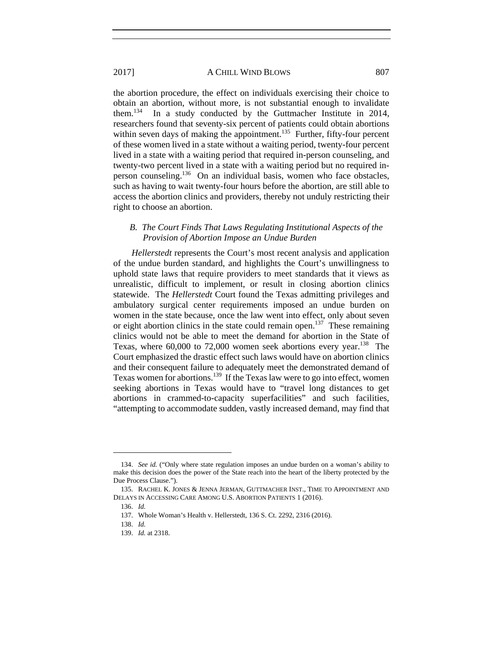the abortion procedure, the effect on individuals exercising their choice to obtain an abortion, without more, is not substantial enough to invalidate them.134 In a study conducted by the Guttmacher Institute in 2014, researchers found that seventy-six percent of patients could obtain abortions within seven days of making the appointment.<sup>135</sup> Further, fifty-four percent of these women lived in a state without a waiting period, twenty-four percent lived in a state with a waiting period that required in-person counseling, and twenty-two percent lived in a state with a waiting period but no required inperson counseling.136 On an individual basis, women who face obstacles, such as having to wait twenty-four hours before the abortion, are still able to access the abortion clinics and providers, thereby not unduly restricting their

# *B. The Court Finds That Laws Regulating Institutional Aspects of the Provision of Abortion Impose an Undue Burden*

*Hellerstedt* represents the Court's most recent analysis and application of the undue burden standard, and highlights the Court's unwillingness to uphold state laws that require providers to meet standards that it views as unrealistic, difficult to implement, or result in closing abortion clinics statewide. The *Hellerstedt* Court found the Texas admitting privileges and ambulatory surgical center requirements imposed an undue burden on women in the state because, once the law went into effect, only about seven or eight abortion clinics in the state could remain open.<sup>137</sup> These remaining clinics would not be able to meet the demand for abortion in the State of Texas, where  $60,000$  to 72,000 women seek abortions every year.<sup>138</sup> The Court emphasized the drastic effect such laws would have on abortion clinics and their consequent failure to adequately meet the demonstrated demand of Texas women for abortions.<sup>139</sup> If the Texas law were to go into effect, women seeking abortions in Texas would have to "travel long distances to get abortions in crammed-to-capacity superfacilities" and such facilities, "attempting to accommodate sudden, vastly increased demand, may find that

 $\overline{a}$ 

right to choose an abortion.

 <sup>134.</sup> *See id.* ("Only where state regulation imposes an undue burden on a woman's ability to make this decision does the power of the State reach into the heart of the liberty protected by the Due Process Clause.").

 <sup>135.</sup> RACHEL K. JONES & JENNA JERMAN, GUTTMACHER INST., TIME TO APPOINTMENT AND DELAYS IN ACCESSING CARE AMONG U.S. ABORTION PATIENTS 1 (2016).

 <sup>136.</sup> *Id.* 

 <sup>137.</sup> Whole Woman's Health v. Hellerstedt, 136 S. Ct. 2292, 2316 (2016).

 <sup>138.</sup> *Id.*

 <sup>139.</sup> *Id.* at 2318.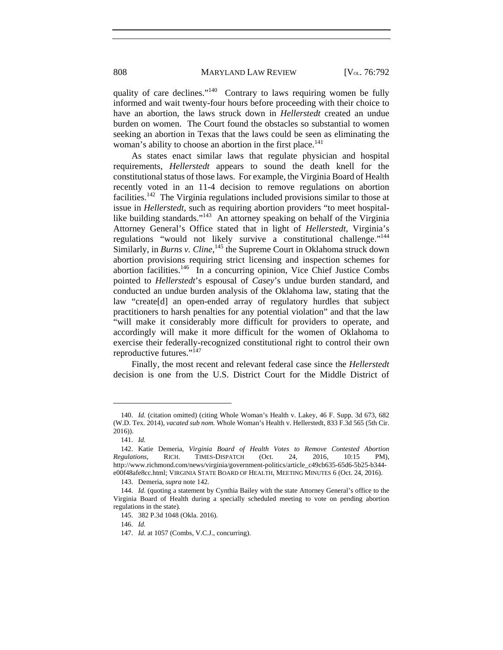808 MARYLAND LAW REVIEW [V<sub>OL.</sub> 76:792

quality of care declines." $140$  Contrary to laws requiring women be fully informed and wait twenty-four hours before proceeding with their choice to have an abortion, the laws struck down in *Hellerstedt* created an undue burden on women. The Court found the obstacles so substantial to women seeking an abortion in Texas that the laws could be seen as eliminating the woman's ability to choose an abortion in the first place.<sup>141</sup>

As states enact similar laws that regulate physician and hospital requirements, *Hellerstedt* appears to sound the death knell for the constitutional status of those laws. For example, the Virginia Board of Health recently voted in an 11-4 decision to remove regulations on abortion facilities.142 The Virginia regulations included provisions similar to those at issue in *Hellerstedt*, such as requiring abortion providers "to meet hospitallike building standards."<sup>143</sup> An attorney speaking on behalf of the Virginia Attorney General's Office stated that in light of *Hellerstedt*, Virginia's regulations "would not likely survive a constitutional challenge."144 Similarly, in *Burns v. Cline*, <sup>145</sup> the Supreme Court in Oklahoma struck down abortion provisions requiring strict licensing and inspection schemes for abortion facilities.146 In a concurring opinion, Vice Chief Justice Combs pointed to *Hellerstedt*'s espousal of *Casey*'s undue burden standard, and conducted an undue burden analysis of the Oklahoma law, stating that the law "create[d] an open-ended array of regulatory hurdles that subject practitioners to harsh penalties for any potential violation" and that the law "will make it considerably more difficult for providers to operate, and accordingly will make it more difficult for the women of Oklahoma to exercise their federally-recognized constitutional right to control their own reproductive futures."<sup>147</sup>

Finally, the most recent and relevant federal case since the *Hellerstedt* decision is one from the U.S. District Court for the Middle District of

 $\overline{a}$ 

146. *Id.*

 <sup>140.</sup> *Id.* (citation omitted) (citing Whole Woman's Health v. Lakey, 46 F. Supp. 3d 673, 682 (W.D. Tex. 2014), *vacated sub nom.* Whole Woman's Health v. Hellerstedt, 833 F.3d 565 (5th Cir. 2016)).

 <sup>141.</sup> *Id.* 

 <sup>142.</sup> Katie Demeria, *Virginia Board of Health Votes to Remove Contested Abortion Regulations*, RICH. TIMES-DISPATCH (Oct. 24, 2016, 10:15 PM), http://www.richmond.com/news/virginia/government-politics/article\_c49cb635-65d6-5b25-b344 e00f48afe8cc.html; VIRGINIA STATE BOARD OF HEALTH, MEETING MINUTES 6 (Oct. 24, 2016).

 <sup>143.</sup> Demeria, *supra* note 142.

 <sup>144.</sup> *Id.* (quoting a statement by Cynthia Bailey with the state Attorney General's office to the Virginia Board of Health during a specially scheduled meeting to vote on pending abortion regulations in the state)*.* 

 <sup>145. 382</sup> P.3d 1048 (Okla. 2016).

 <sup>147.</sup> *Id.* at 1057 (Combs, V.C.J., concurring).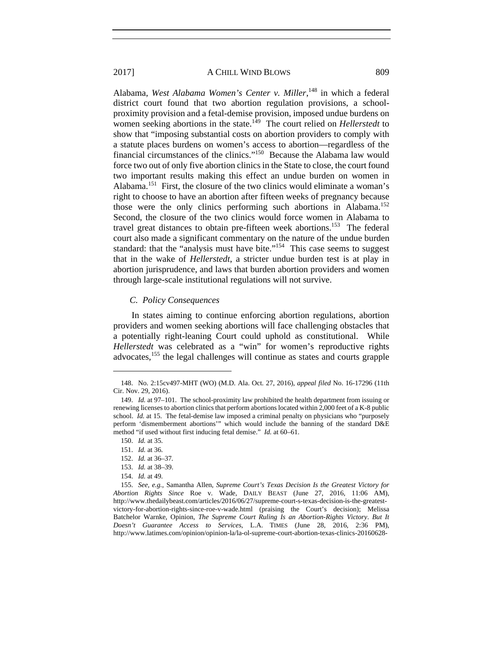Alabama, *West Alabama Women's Center v. Miller*, 148 in which a federal district court found that two abortion regulation provisions, a schoolproximity provision and a fetal-demise provision, imposed undue burdens on women seeking abortions in the state.<sup>149</sup> The court relied on *Hellerstedt* to show that "imposing substantial costs on abortion providers to comply with a statute places burdens on women's access to abortion—regardless of the financial circumstances of the clinics."150 Because the Alabama law would force two out of only five abortion clinics in the State to close, the court found two important results making this effect an undue burden on women in Alabama<sup>151</sup> First, the closure of the two clinics would eliminate a woman's right to choose to have an abortion after fifteen weeks of pregnancy because those were the only clinics performing such abortions in Alabama.<sup>152</sup> Second, the closure of the two clinics would force women in Alabama to travel great distances to obtain pre-fifteen week abortions.<sup>153</sup> The federal court also made a significant commentary on the nature of the undue burden standard: that the "analysis must have bite."<sup>154</sup> This case seems to suggest that in the wake of *Hellerstedt*, a stricter undue burden test is at play in abortion jurisprudence, and laws that burden abortion providers and women through large-scale institutional regulations will not survive.

#### *C. Policy Consequences*

In states aiming to continue enforcing abortion regulations, abortion providers and women seeking abortions will face challenging obstacles that a potentially right-leaning Court could uphold as constitutional. While *Hellerstedt* was celebrated as a "win" for women's reproductive rights advocates,155 the legal challenges will continue as states and courts grapple

 <sup>148.</sup> No. 2:15cv497-MHT (WO) (M.D. Ala. Oct. 27, 2016), *appeal filed* No. 16-17296 (11th Cir. Nov. 29, 2016).

 <sup>149.</sup> *Id.* at 97–101.The school-proximity law prohibited the health department from issuing or renewing licenses to abortion clinics that perform abortions located within 2,000 feet of a K-8 public school. *Id.* at 15. The fetal-demise law imposed a criminal penalty on physicians who "purposely perform 'dismemberment abortions'" which would include the banning of the standard D&E method "if used without first inducing fetal demise." *Id.* at 60–61.

 <sup>150.</sup> *Id.* at 35.

 <sup>151.</sup> *Id.* at 36.

 <sup>152.</sup> *Id.* at 36–37*.* 

 <sup>153.</sup> *Id.* at 38–39.

 <sup>154.</sup> *Id.* at 49.

 <sup>155.</sup> *See, e.g.*, Samantha Allen, *Supreme Court's Texas Decision Is the Greatest Victory for Abortion Rights Since* Roe v. Wade, DAILY BEAST (June 27, 2016, 11:06 AM), http://www.thedailybeast.com/articles/2016/06/27/supreme-court-s-texas-decision-is-the-greatestvictory-for-abortion-rights-since-roe-v-wade.html (praising the Court's decision); Melissa Batchelor Warnke, Opinion, *The Supreme Court Ruling Is an Abortion-Rights Victory*. *But It Doesn't Guarantee Access to Services*, L.A. TIMES (June 28, 2016, 2:36 PM), http://www.latimes.com/opinion/opinion-la/la-ol-supreme-court-abortion-texas-clinics-20160628-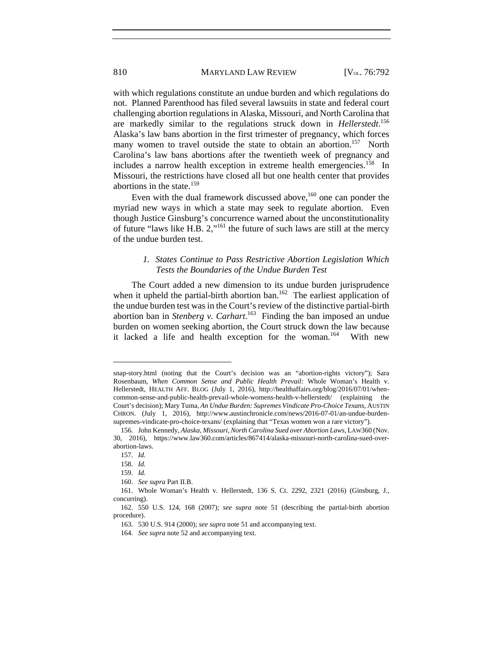with which regulations constitute an undue burden and which regulations do not. Planned Parenthood has filed several lawsuits in state and federal court challenging abortion regulations in Alaska, Missouri, and North Carolina that are markedly similar to the regulations struck down in *Hellerstedt*. 156 Alaska's law bans abortion in the first trimester of pregnancy, which forces many women to travel outside the state to obtain an abortion.<sup>157</sup> North Carolina's law bans abortions after the twentieth week of pregnancy and includes a narrow health exception in extreme health emergencies.<sup>158</sup> In Missouri, the restrictions have closed all but one health center that provides abortions in the state.<sup>159</sup>

Even with the dual framework discussed above,<sup>160</sup> one can ponder the myriad new ways in which a state may seek to regulate abortion. Even though Justice Ginsburg's concurrence warned about the unconstitutionality of future "laws like H.B.  $2$ ,"<sup>161</sup> the future of such laws are still at the mercy of the undue burden test.

# *1. States Continue to Pass Restrictive Abortion Legislation Which Tests the Boundaries of the Undue Burden Test*

The Court added a new dimension to its undue burden jurisprudence when it upheld the partial-birth abortion ban.<sup>162</sup> The earliest application of the undue burden test was in the Court's review of the distinctive partial-birth abortion ban in *Stenberg v. Carhart*. 163 Finding the ban imposed an undue burden on women seeking abortion, the Court struck down the law because it lacked a life and health exception for the woman.<sup>164</sup> With new

snap-story.html (noting that the Court's decision was an "abortion-rights victory"); Sara Rosenbaum, *When Common Sense and Public Health Prevail:* Whole Woman's Health v. Hellerstedt, HEALTH AFF. BLOG (July 1, 2016), http://healthaffairs.org/blog/2016/07/01/whencommon-sense-and-public-health-prevail-whole-womens-health-v-hellerstedt/ (explaining the Court's decision); Mary Tuma, *An Undue Burden: Supremes Vindicate Pro-Choice Texans*, AUSTIN CHRON. (July 1, 2016), http://www.austinchronicle.com/news/2016-07-01/an-undue-burdensupremes-vindicate-pro-choice-texans/ (explaining that "Texas women won a rare victory").

 <sup>156.</sup> John Kennedy, *Alaska, Missouri, North Carolina Sued over Abortion Laws*, LAW360 (Nov. 30, 2016), https://www.law360.com/articles/867414/alaska-missouri-north-carolina-sued-overabortion-laws.

 <sup>157.</sup> *Id.* 

 <sup>158.</sup> *Id.*

 <sup>159.</sup> *Id.*

 <sup>160.</sup> *See supra* Part II.B.

 <sup>161.</sup> Whole Woman's Health v. Hellerstedt, 136 S. Ct. 2292, 2321 (2016) (Ginsburg, J., concurring).

 <sup>162. 550</sup> U.S. 124, 168 (2007); *see supra* note 51 (describing the partial-birth abortion procedure).

 <sup>163. 530</sup> U.S. 914 (2000); *see supra* note 51 and accompanying text.

 <sup>164.</sup> *See supra* note 52 and accompanying text.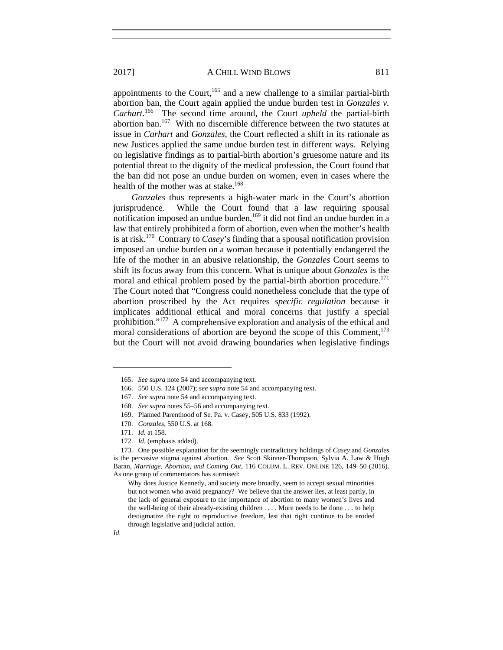appointments to the Court,<sup>165</sup> and a new challenge to a similar partial-birth abortion ban, the Court again applied the undue burden test in *Gonzales v. Carhart.*166 The second time around, the Court *upheld* the partial-birth abortion ban.167 With no discernible difference between the two statutes at issue in *Carhart* and *Gonzales*, the Court reflected a shift in its rationale as new Justices applied the same undue burden test in different ways. Relying on legislative findings as to partial-birth abortion's gruesome nature and its potential threat to the dignity of the medical profession, the Court found that the ban did not pose an undue burden on women, even in cases where the health of the mother was at stake.<sup>168</sup>

*Gonzales* thus represents a high-water mark in the Court's abortion jurisprudence. While the Court found that a law requiring spousal notification imposed an undue burden,<sup>169</sup> it did not find an undue burden in a law that entirely prohibited a form of abortion, even when the mother's health is at risk.170 Contrary to *Casey*'s finding that a spousal notification provision imposed an undue burden on a woman because it potentially endangered the life of the mother in an abusive relationship, the *Gonzales* Court seems to shift its focus away from this concern. What is unique about *Gonzales* is the moral and ethical problem posed by the partial-birth abortion procedure.<sup>171</sup> The Court noted that "Congress could nonetheless conclude that the type of abortion proscribed by the Act requires *specific regulation* because it implicates additional ethical and moral concerns that justify a special prohibition."172 A comprehensive exploration and analysis of the ethical and moral considerations of abortion are beyond the scope of this Comment, $173$ but the Court will not avoid drawing boundaries when legislative findings

 <sup>165.</sup> *See supra* note 54 and accompanying text.

 <sup>166. 550</sup> U.S. 124 (2007); *see supra* note 54 and accompanying text.

 <sup>167.</sup> *See supra* note 54 and accompanying text.

 <sup>168.</sup> *See supra* notes 55–56 and accompanying text.

 <sup>169.</sup> Planned Parenthood of Se. Pa. v. Casey, 505 U.S. 833 (1992).

 <sup>170.</sup> *Gonzales*, 550 U.S. at 168.

 <sup>171.</sup> *Id.* at 158.

 <sup>172.</sup> *Id*. (emphasis added).

 <sup>173.</sup> One possible explanation for the seemingly contradictory holdings of *Casey* and *Gonzales* is the pervasive stigma against abortion. *See* Scott Skinner-Thompson, Sylvia A. Law & Hugh Baran, *Marriage, Abortion, and Coming Out*, 116 COLUM. L. REV. ONLINE 126, 149–50 (2016). As one group of commentators has surmised:

Why does Justice Kennedy, and society more broadly, seem to accept sexual minorities but not women who avoid pregnancy? We believe that the answer lies, at least partly, in the lack of general exposure to the importance of abortion to many women's lives and the well-being of their already-existing children . . . . More needs to be done . . . to help destigmatize the right to reproductive freedom, lest that right continue to be eroded through legislative and judicial action.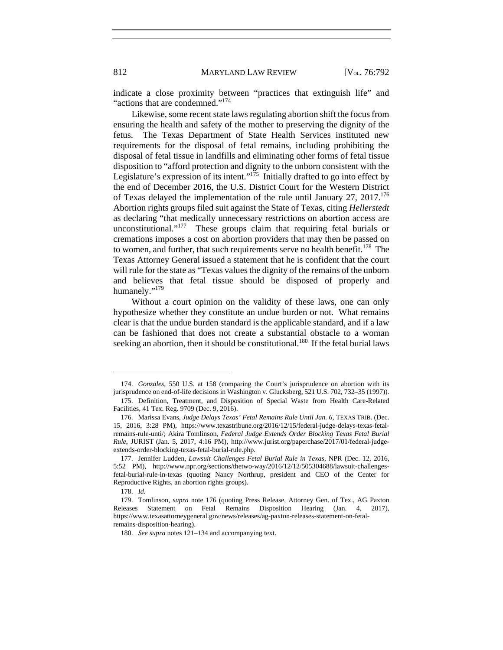indicate a close proximity between "practices that extinguish life" and "actions that are condemned."<sup>174</sup>

Likewise, some recent state laws regulating abortion shift the focus from ensuring the health and safety of the mother to preserving the dignity of the fetus. The Texas Department of State Health Services instituted new requirements for the disposal of fetal remains, including prohibiting the disposal of fetal tissue in landfills and eliminating other forms of fetal tissue disposition to "afford protection and dignity to the unborn consistent with the Legislature's expression of its intent."<sup>175</sup> Initially drafted to go into effect by the end of December 2016, the U.S. District Court for the Western District of Texas delayed the implementation of the rule until January  $27$ ,  $2017$ .<sup>176</sup> Abortion rights groups filed suit against the State of Texas, citing *Hellerstedt* as declaring "that medically unnecessary restrictions on abortion access are unconstitutional."<sup>177</sup> These groups claim that requiring fetal burials or cremations imposes a cost on abortion providers that may then be passed on to women, and further, that such requirements serve no health benefit.<sup>178</sup> The Texas Attorney General issued a statement that he is confident that the court will rule for the state as "Texas values the dignity of the remains of the unborn and believes that fetal tissue should be disposed of properly and humanely."179

Without a court opinion on the validity of these laws, one can only hypothesize whether they constitute an undue burden or not. What remains clear is that the undue burden standard is the applicable standard, and if a law can be fashioned that does not create a substantial obstacle to a woman seeking an abortion, then it should be constitutional.<sup>180</sup> If the fetal burial laws

 <sup>174.</sup> *Gonzales*, 550 U.S. at 158 (comparing the Court's jurisprudence on abortion with its jurisprudence on end-of-life decisions in Washington v. Glucksberg, 521 U.S. 702, 732–35 (1997)).

 <sup>175.</sup> Definition, Treatment, and Disposition of Special Waste from Health Care-Related Facilities, 41 Tex. Reg. 9709 (Dec. 9, 2016).

 <sup>176.</sup> Marissa Evans, *Judge Delays Texas' Fetal Remains Rule Until Jan. 6*, TEXAS TRIB. (Dec. 15, 2016, 3:28 PM), https://www.texastribune.org/2016/12/15/federal-judge-delays-texas-fetalremains-rule-unti/; Akira Tomlinson, *Federal Judge Extends Order Blocking Texas Fetal Burial Rule*, JURIST (Jan. 5, 2017, 4:16 PM), http://www.jurist.org/paperchase/2017/01/federal-judgeextends-order-blocking-texas-fetal-burial-rule.php.

 <sup>177.</sup> Jennifer Ludden, *Lawsuit Challenges Fetal Burial Rule in Texas*, NPR (Dec. 12, 2016, 5:52 PM), http://www.npr.org/sections/thetwo-way/2016/12/12/505304688/lawsuit-challengesfetal-burial-rule-in-texas (quoting Nancy Northrup, president and CEO of the Center for Reproductive Rights, an abortion rights groups).

 <sup>178.</sup> *Id.*

 <sup>179.</sup> Tomlinson, *supra* note 176 (quoting Press Release, Attorney Gen. of Tex., AG Paxton Releases Statement on Fetal Remains Disposition Hearing (Jan. 4, 2017), https://www.texasattorneygeneral.gov/news/releases/ag-paxton-releases-statement-on-fetalremains-disposition-hearing).

 <sup>180.</sup> *See supra* notes 121–134 and accompanying text.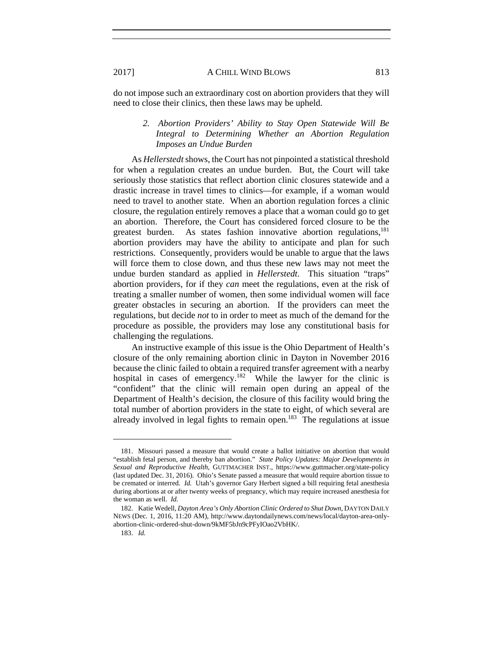do not impose such an extraordinary cost on abortion providers that they will need to close their clinics, then these laws may be upheld.

# *2. Abortion Providers' Ability to Stay Open Statewide Will Be Integral to Determining Whether an Abortion Regulation Imposes an Undue Burden*

As *Hellerstedt* shows, the Court has not pinpointed a statistical threshold for when a regulation creates an undue burden. But, the Court will take seriously those statistics that reflect abortion clinic closures statewide and a drastic increase in travel times to clinics—for example, if a woman would need to travel to another state. When an abortion regulation forces a clinic closure, the regulation entirely removes a place that a woman could go to get an abortion. Therefore, the Court has considered forced closure to be the greatest burden. As states fashion innovative abortion regulations, $^{181}$ abortion providers may have the ability to anticipate and plan for such restrictions. Consequently, providers would be unable to argue that the laws will force them to close down, and thus these new laws may not meet the undue burden standard as applied in *Hellerstedt*. This situation "traps" abortion providers, for if they *can* meet the regulations, even at the risk of treating a smaller number of women, then some individual women will face greater obstacles in securing an abortion. If the providers can meet the regulations, but decide *not* to in order to meet as much of the demand for the procedure as possible, the providers may lose any constitutional basis for challenging the regulations.

An instructive example of this issue is the Ohio Department of Health's closure of the only remaining abortion clinic in Dayton in November 2016 because the clinic failed to obtain a required transfer agreement with a nearby hospital in cases of emergency.<sup>182</sup> While the lawyer for the clinic is "confident" that the clinic will remain open during an appeal of the Department of Health's decision, the closure of this facility would bring the total number of abortion providers in the state to eight, of which several are already involved in legal fights to remain open.<sup>183</sup> The regulations at issue

l

 <sup>181.</sup> Missouri passed a measure that would create a ballot initiative on abortion that would "establish fetal person, and thereby ban abortion." *State Policy Updates: Major Developments in Sexual and Reproductive Health*, GUTTMACHER INST., https://www.guttmacher.org/state-policy (last updated Dec. 31, 2016). Ohio's Senate passed a measure that would require abortion tissue to be cremated or interred. *Id.* Utah's governor Gary Herbert signed a bill requiring fetal anesthesia during abortions at or after twenty weeks of pregnancy, which may require increased anesthesia for the woman as well. *Id.*

 <sup>182.</sup> Katie Wedell, *Dayton Area's Only Abortion Clinic Ordered to Shut Down*, DAYTON DAILY NEWS (Dec. 1, 2016, 11:20 AM), http://www.daytondailynews.com/news/local/dayton-area-onlyabortion-clinic-ordered-shut-down/9kMF5bJn9cPFyIOao2VbHK/.

 <sup>183.</sup> *Id.*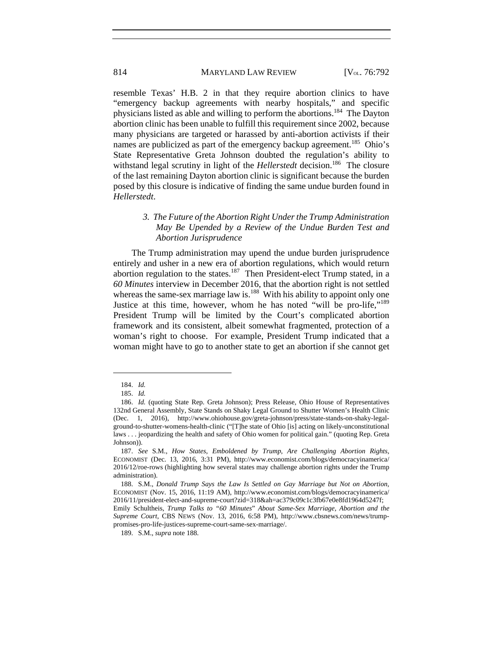resemble Texas' H.B. 2 in that they require abortion clinics to have "emergency backup agreements with nearby hospitals," and specific physicians listed as able and willing to perform the abortions.184 The Dayton abortion clinic has been unable to fulfill this requirement since 2002, because many physicians are targeted or harassed by anti-abortion activists if their names are publicized as part of the emergency backup agreement.<sup>185</sup> Ohio's State Representative Greta Johnson doubted the regulation's ability to withstand legal scrutiny in light of the *Hellerstedt* decision.<sup>186</sup> The closure of the last remaining Dayton abortion clinic is significant because the burden posed by this closure is indicative of finding the same undue burden found in *Hellerstedt*.

# *3. The Future of the Abortion Right Under the Trump Administration May Be Upended by a Review of the Undue Burden Test and Abortion Jurisprudence*

The Trump administration may upend the undue burden jurisprudence entirely and usher in a new era of abortion regulations, which would return abortion regulation to the states.<sup>187</sup> Then President-elect Trump stated, in a *60 Minutes* interview in December 2016, that the abortion right is not settled whereas the same-sex marriage law is.<sup>188</sup> With his ability to appoint only one Justice at this time, however, whom he has noted "will be pro-life,"189 President Trump will be limited by the Court's complicated abortion framework and its consistent, albeit somewhat fragmented, protection of a woman's right to choose. For example, President Trump indicated that a woman might have to go to another state to get an abortion if she cannot get

 $\overline{a}$ 

*Supreme Court*, CBS NEWS (Nov. 13, 2016, 6:58 PM), http://www.cbsnews.com/news/trumppromises-pro-life-justices-supreme-court-same-sex-marriage/.

189. S.M., *supra* note 188.

 <sup>184.</sup> *Id.*

 <sup>185.</sup> *Id.*

 <sup>186.</sup> *Id.* (quoting State Rep. Greta Johnson); Press Release, Ohio House of Representatives 132nd General Assembly, State Stands on Shaky Legal Ground to Shutter Women's Health Clinic (Dec. 1, 2016), http://www.ohiohouse.gov/greta-johnson/press/state-stands-on-shaky-legalground-to-shutter-womens-health-clinic ("[T]he state of Ohio [is] acting on likely-unconstitutional laws . . . jeopardizing the health and safety of Ohio women for political gain." (quoting Rep. Greta Johnson)).

 <sup>187.</sup> *See* S.M., *How States, Emboldened by Trump, Are Challenging Abortion Rights*, ECONOMIST (Dec. 13, 2016, 3:31 PM), http://www.economist.com/blogs/democracyinamerica/ 2016/12/roe-rows (highlighting how several states may challenge abortion rights under the Trump administration).

 <sup>188.</sup> S.M., *Donald Trump Says the Law Is Settled on Gay Marriage but Not on Abortion*, ECONOMIST (Nov. 15, 2016, 11:19 AM), http://www.economist.com/blogs/democracyinamerica/ 2016/11/president-elect-and-supreme-court?zid=318&ah=ac379c09c1c3fb67e0e8fd1964d5247f; Emily Schultheis, *Trump Talks to "60 Minutes*" *About Same-Sex Marriage, Abortion and the*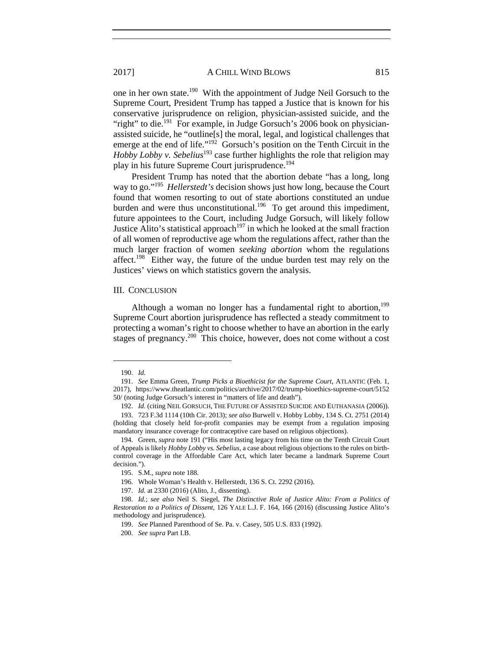one in her own state.190 With the appointment of Judge Neil Gorsuch to the Supreme Court, President Trump has tapped a Justice that is known for his conservative jurisprudence on religion, physician-assisted suicide, and the "right" to die.<sup>191</sup> For example, in Judge Gorsuch's 2006 book on physicianassisted suicide, he "outline[s] the moral, legal, and logistical challenges that emerge at the end of life."<sup>192</sup> Gorsuch's position on the Tenth Circuit in the *Hobby Lobby v. Sebelius*<sup>193</sup> case further highlights the role that religion may play in his future Supreme Court jurisprudence.<sup>194</sup>

President Trump has noted that the abortion debate "has a long, long way to go."195 *Hellerstedt's* decision shows just how long, because the Court found that women resorting to out of state abortions constituted an undue burden and were thus unconstitutional.<sup>196</sup> To get around this impediment, future appointees to the Court, including Judge Gorsuch, will likely follow Justice Alito's statistical approach<sup>197</sup> in which he looked at the small fraction of all women of reproductive age whom the regulations affect, rather than the much larger fraction of women *seeking abortion* whom the regulations affect.198 Either way, the future of the undue burden test may rely on the Justices' views on which statistics govern the analysis.

#### III. CONCLUSION

Although a woman no longer has a fundamental right to abortion, $199$ Supreme Court abortion jurisprudence has reflected a steady commitment to protecting a woman's right to choose whether to have an abortion in the early stages of pregnancy.<sup>200</sup> This choice, however, does not come without a cost

 <sup>190.</sup> *Id.* 

 <sup>191.</sup> *See* Emma Green, *Trump Picks a Bioethicist for the Supreme Court*, ATLANTIC (Feb. 1, 2017), https://www.theatlantic.com/politics/archive/2017/02/trump-bioethics-supreme-court/5152 50/ (noting Judge Gorsuch's interest in "matters of life and death").

 <sup>192.</sup> *Id.* (citing NEIL GORSUCH, THE FUTURE OF ASSISTED SUICIDE AND EUTHANASIA (2006)).

 <sup>193. 723</sup> F.3d 1114 (10th Cir. 2013); *see also* Burwell v. Hobby Lobby, 134 S. Ct. 2751 (2014) (holding that closely held for-profit companies may be exempt from a regulation imposing mandatory insurance coverage for contraceptive care based on religious objections).

 <sup>194.</sup> Green, *supra* note 191 ("His most lasting legacy from his time on the Tenth Circuit Court of Appeals is likely *Hobby Lobby vs. Sebelius*, a case about religious objections to the rules on birthcontrol coverage in the Affordable Care Act, which later became a landmark Supreme Court decision.").

 <sup>195.</sup> S.M., *supra* note 188.

 <sup>196.</sup> Whole Woman's Health v. Hellerstedt, 136 S. Ct. 2292 (2016).

 <sup>197.</sup> *Id.* at 2330 (2016) (Alito, J., dissenting).

 <sup>198.</sup> *Id.*; *see also* Neil S. Siegel, *The Distinctive Role of Justice Alito: From a Politics of Restoration to a Politics of Dissent*, 126 YALE L.J. F. 164, 166 (2016) (discussing Justice Alito's methodology and jurisprudence).

 <sup>199.</sup> *See* Planned Parenthood of Se. Pa. v. Casey, 505 U.S. 833 (1992).

 <sup>200.</sup> *See supra* Part I.B.